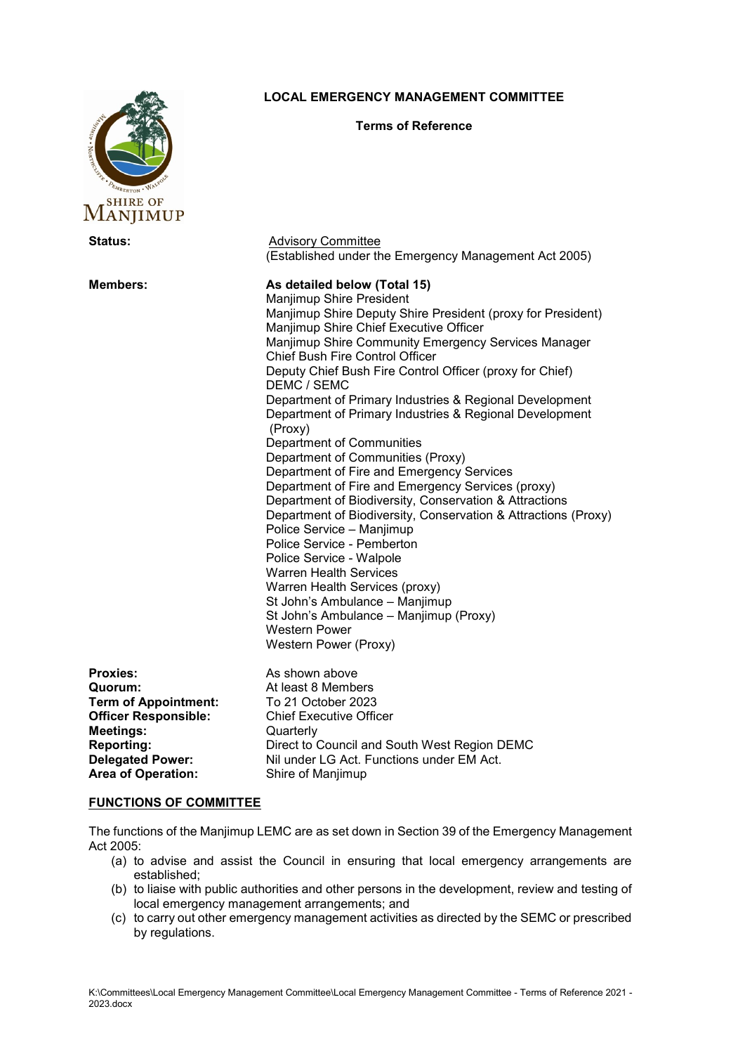

## **LOCAL EMERGENCY MANAGEMENT COMMITTEE**

#### **Terms of Reference**

| SHIKE UF<br>MANJIMUP                                                                                                                                                                      |                                                                                                                                                                                                                                                                                                                                                                                                                                                                                                                                                                                                                                                                                                                                                                                                                                                                                                                                                                                                                                                                       |
|-------------------------------------------------------------------------------------------------------------------------------------------------------------------------------------------|-----------------------------------------------------------------------------------------------------------------------------------------------------------------------------------------------------------------------------------------------------------------------------------------------------------------------------------------------------------------------------------------------------------------------------------------------------------------------------------------------------------------------------------------------------------------------------------------------------------------------------------------------------------------------------------------------------------------------------------------------------------------------------------------------------------------------------------------------------------------------------------------------------------------------------------------------------------------------------------------------------------------------------------------------------------------------|
| <b>Status:</b>                                                                                                                                                                            | <b>Advisory Committee</b><br>(Established under the Emergency Management Act 2005)                                                                                                                                                                                                                                                                                                                                                                                                                                                                                                                                                                                                                                                                                                                                                                                                                                                                                                                                                                                    |
| <b>Members:</b>                                                                                                                                                                           | As detailed below (Total 15)<br>Manjimup Shire President<br>Manjimup Shire Deputy Shire President (proxy for President)<br>Manjimup Shire Chief Executive Officer<br>Manjimup Shire Community Emergency Services Manager<br><b>Chief Bush Fire Control Officer</b><br>Deputy Chief Bush Fire Control Officer (proxy for Chief)<br>DEMC / SEMC<br>Department of Primary Industries & Regional Development<br>Department of Primary Industries & Regional Development<br>(Proxy)<br>Department of Communities<br>Department of Communities (Proxy)<br>Department of Fire and Emergency Services<br>Department of Fire and Emergency Services (proxy)<br>Department of Biodiversity, Conservation & Attractions<br>Department of Biodiversity, Conservation & Attractions (Proxy)<br>Police Service - Manjimup<br>Police Service - Pemberton<br>Police Service - Walpole<br><b>Warren Health Services</b><br>Warren Health Services (proxy)<br>St John's Ambulance - Manjimup<br>St John's Ambulance - Manjimup (Proxy)<br><b>Western Power</b><br>Western Power (Proxy) |
| <b>Proxies:</b><br>Quorum:<br><b>Term of Appointment:</b><br><b>Officer Responsible:</b><br><b>Meetings:</b><br><b>Reporting:</b><br><b>Delegated Power:</b><br><b>Area of Operation:</b> | As shown above<br>At least 8 Members<br>To 21 October 2023<br><b>Chief Executive Officer</b><br>Quarterly<br>Direct to Council and South West Region DEMC<br>Nil under LG Act. Functions under EM Act.<br>Shire of Manjimup                                                                                                                                                                                                                                                                                                                                                                                                                                                                                                                                                                                                                                                                                                                                                                                                                                           |

#### **FUNCTIONS OF COMMITTEE**

The functions of the Manjimup LEMC are as set down in Section 39 of the Emergency Management Act 2005:

- (a) to advise and assist the Council in ensuring that local emergency arrangements are established;
- (b) to liaise with public authorities and other persons in the development, review and testing of local emergency management arrangements; and
- (c) to carry out other emergency management activities as directed by the SEMC or prescribed by regulations.